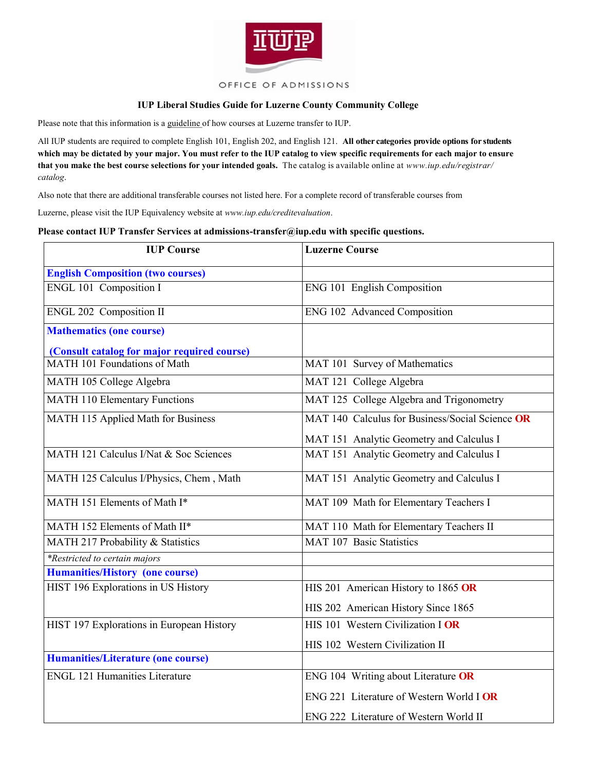

## OFFICE OF ADMISSIONS

## **IUP Liberal Studies Guide for Luzerne County Community College**

Please note that this information is a guideline of how courses at Luzerne transfer to IUP.

All IUP students are required to complete English 101, English 202, and English 121. **All other categories provide options for students which may be dictated by your major. You must refer to the IUP catalog to view specific requirements for each major to ensure that you make the best course selections for your intended goals.** The catalog is available online at *www.iup.edu/registrar/ catalog*.

Also note that there are additional transferable courses not listed here. For a complete record of transferable courses from

Luzerne, please visit the IUP Equivalency website at *www.iup.edu/creditevaluation*.

## **Please contact IUP Transfer Services at admissions-transfer@iup.edu with specific questions.**

| <b>IUP Course</b>                           | <b>Luzerne Course</b>                           |
|---------------------------------------------|-------------------------------------------------|
| <b>English Composition (two courses)</b>    |                                                 |
| ENGL 101 Composition I                      | ENG 101 English Composition                     |
| ENGL 202 Composition II                     | ENG 102 Advanced Composition                    |
| <b>Mathematics (one course)</b>             |                                                 |
| (Consult catalog for major required course) |                                                 |
| MATH 101 Foundations of Math                | MAT 101 Survey of Mathematics                   |
| MATH 105 College Algebra                    | MAT 121 College Algebra                         |
| <b>MATH 110 Elementary Functions</b>        | MAT 125 College Algebra and Trigonometry        |
| MATH 115 Applied Math for Business          | MAT 140 Calculus for Business/Social Science OR |
|                                             | MAT 151 Analytic Geometry and Calculus I        |
| MATH 121 Calculus I/Nat & Soc Sciences      | MAT 151 Analytic Geometry and Calculus I        |
| MATH 125 Calculus I/Physics, Chem, Math     | MAT 151 Analytic Geometry and Calculus I        |
| MATH 151 Elements of Math I*                | MAT 109 Math for Elementary Teachers I          |
| MATH 152 Elements of Math II*               | MAT 110 Math for Elementary Teachers II         |
| MATH 217 Probability & Statistics           | <b>MAT 107 Basic Statistics</b>                 |
| <i>*Restricted to certain majors</i>        |                                                 |
| <b>Humanities/History (one course)</b>      |                                                 |
| HIST 196 Explorations in US History         | HIS 201 American History to 1865 OR             |
|                                             | HIS 202 American History Since 1865             |
| HIST 197 Explorations in European History   | HIS 101 Western Civilization I OR               |
|                                             | HIS 102 Western Civilization II                 |
| <b>Humanities/Literature (one course)</b>   |                                                 |
| <b>ENGL 121 Humanities Literature</b>       | ENG 104 Writing about Literature OR             |
|                                             | ENG 221 Literature of Western World I OR        |
|                                             | ENG 222 Literature of Western World II          |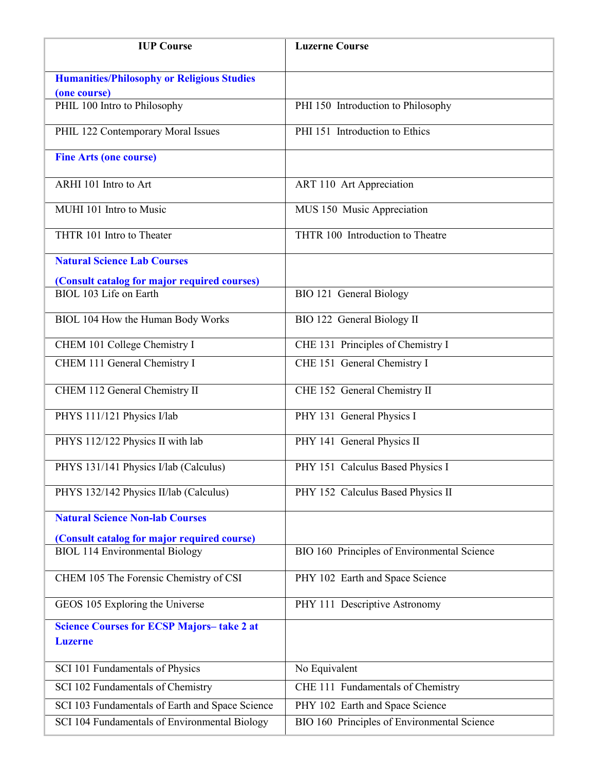| <b>IUP Course</b>                                                  | <b>Luzerne Course</b>                       |
|--------------------------------------------------------------------|---------------------------------------------|
| <b>Humanities/Philosophy or Religious Studies</b>                  |                                             |
| (one course)                                                       |                                             |
| PHIL 100 Intro to Philosophy                                       | PHI 150 Introduction to Philosophy          |
| PHIL 122 Contemporary Moral Issues                                 | PHI 151 Introduction to Ethics              |
| <b>Fine Arts (one course)</b>                                      |                                             |
| ARHI 101 Intro to Art                                              | ART 110 Art Appreciation                    |
| MUHI 101 Intro to Music                                            | MUS 150 Music Appreciation                  |
| THTR 101 Intro to Theater                                          | THTR 100 Introduction to Theatre            |
| <b>Natural Science Lab Courses</b>                                 |                                             |
| (Consult catalog for major required courses)                       |                                             |
| BIOL 103 Life on Earth                                             | BIO 121 General Biology                     |
| BIOL 104 How the Human Body Works                                  | BIO 122 General Biology II                  |
| CHEM 101 College Chemistry I                                       | CHE 131 Principles of Chemistry I           |
| CHEM 111 General Chemistry I                                       | CHE 151 General Chemistry I                 |
| CHEM 112 General Chemistry II                                      | CHE 152 General Chemistry II                |
| PHYS 111/121 Physics I/lab                                         | PHY 131 General Physics I                   |
| PHYS 112/122 Physics II with lab                                   | PHY 141 General Physics II                  |
| PHYS 131/141 Physics I/lab (Calculus)                              | PHY 151 Calculus Based Physics I            |
| PHYS 132/142 Physics II/lab (Calculus)                             | PHY 152 Calculus Based Physics II           |
| <b>Natural Science Non-lab Courses</b>                             |                                             |
| (Consult catalog for major required course)                        |                                             |
| <b>BIOL 114 Environmental Biology</b>                              | BIO 160 Principles of Environmental Science |
| CHEM 105 The Forensic Chemistry of CSI                             | PHY 102 Earth and Space Science             |
| GEOS 105 Exploring the Universe                                    | PHY 111 Descriptive Astronomy               |
| <b>Science Courses for ECSP Majors-take 2 at</b><br><b>Luzerne</b> |                                             |
| SCI 101 Fundamentals of Physics                                    | No Equivalent                               |
| SCI 102 Fundamentals of Chemistry                                  | CHE 111 Fundamentals of Chemistry           |
| SCI 103 Fundamentals of Earth and Space Science                    | PHY 102 Earth and Space Science             |
| SCI 104 Fundamentals of Environmental Biology                      | BIO 160 Principles of Environmental Science |